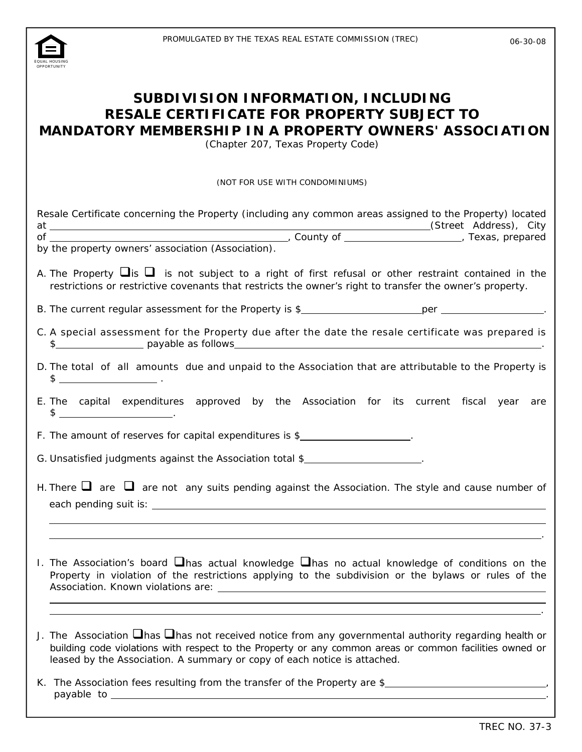

| SUBDIVISION INFORMATION, INCLUDING<br>RESALE CERTIFICATE FOR PROPERTY SUBJECT TO<br><b>MANDATORY MEMBERSHIP IN A PROPERTY OWNERS' ASSOCIATION</b><br>(Chapter 207, Texas Property Code)                           |                                                                                                                                                                                                                                                                                                                                                                                                                               |  |  |  |  |
|-------------------------------------------------------------------------------------------------------------------------------------------------------------------------------------------------------------------|-------------------------------------------------------------------------------------------------------------------------------------------------------------------------------------------------------------------------------------------------------------------------------------------------------------------------------------------------------------------------------------------------------------------------------|--|--|--|--|
|                                                                                                                                                                                                                   | (NOT FOR USE WITH CONDOMINIUMS)                                                                                                                                                                                                                                                                                                                                                                                               |  |  |  |  |
|                                                                                                                                                                                                                   | Resale Certificate concerning the Property (including any common areas assigned to the Property) located<br>at (Street Address), City<br>of (Street Address), City<br>by the property owners' association (Association).                                                                                                                                                                                                      |  |  |  |  |
| A. The Property $\Box$ is not subject to a right of first refusal or other restraint contained in the<br>restrictions or restrictive covenants that restricts the owner's right to transfer the owner's property. |                                                                                                                                                                                                                                                                                                                                                                                                                               |  |  |  |  |
|                                                                                                                                                                                                                   |                                                                                                                                                                                                                                                                                                                                                                                                                               |  |  |  |  |
| C. A special assessment for the Property due after the date the resale certificate was prepared is<br>\$                                                                                                          |                                                                                                                                                                                                                                                                                                                                                                                                                               |  |  |  |  |
|                                                                                                                                                                                                                   | D. The total of all amounts due and unpaid to the Association that are attributable to the Property is<br>$\frac{1}{2}$ $\frac{1}{2}$ $\frac{1}{2}$ $\frac{1}{2}$ $\frac{1}{2}$ $\frac{1}{2}$ $\frac{1}{2}$ $\frac{1}{2}$ $\frac{1}{2}$ $\frac{1}{2}$ $\frac{1}{2}$ $\frac{1}{2}$ $\frac{1}{2}$ $\frac{1}{2}$ $\frac{1}{2}$ $\frac{1}{2}$ $\frac{1}{2}$ $\frac{1}{2}$ $\frac{1}{2}$ $\frac{1}{2}$ $\frac{1}{2}$ $\frac{1}{2}$ |  |  |  |  |
|                                                                                                                                                                                                                   | E. The capital expenditures approved by the Association for its current fiscal year are<br>$\frac{1}{2}$ $\frac{1}{2}$ $\frac{1}{2}$ $\frac{1}{2}$ $\frac{1}{2}$ $\frac{1}{2}$ $\frac{1}{2}$ $\frac{1}{2}$ $\frac{1}{2}$ $\frac{1}{2}$ $\frac{1}{2}$ $\frac{1}{2}$ $\frac{1}{2}$ $\frac{1}{2}$ $\frac{1}{2}$ $\frac{1}{2}$ $\frac{1}{2}$ $\frac{1}{2}$ $\frac{1}{2}$ $\frac{1}{2}$ $\frac{1}{2}$ $\frac{1}{2}$                |  |  |  |  |
|                                                                                                                                                                                                                   | F. The amount of reserves for capital expenditures is \$                                                                                                                                                                                                                                                                                                                                                                      |  |  |  |  |
|                                                                                                                                                                                                                   | G. Unsatisfied judgments against the Association total \$                                                                                                                                                                                                                                                                                                                                                                     |  |  |  |  |
|                                                                                                                                                                                                                   | H. There $\Box$ are $\Box$ are not any suits pending against the Association. The style and cause number of                                                                                                                                                                                                                                                                                                                   |  |  |  |  |
|                                                                                                                                                                                                                   | 1. The Association's board $\Box$ has actual knowledge $\Box$ has no actual knowledge of conditions on the<br>Property in violation of the restrictions applying to the subdivision or the bylaws or rules of the                                                                                                                                                                                                             |  |  |  |  |
|                                                                                                                                                                                                                   | J. The Association $\Box$ has $\Box$ has not received notice from any governmental authority regarding health or<br>building code violations with respect to the Property or any common areas or common facilities owned or<br>leased by the Association. A summary or copy of each notice is attached.                                                                                                                       |  |  |  |  |
|                                                                                                                                                                                                                   |                                                                                                                                                                                                                                                                                                                                                                                                                               |  |  |  |  |